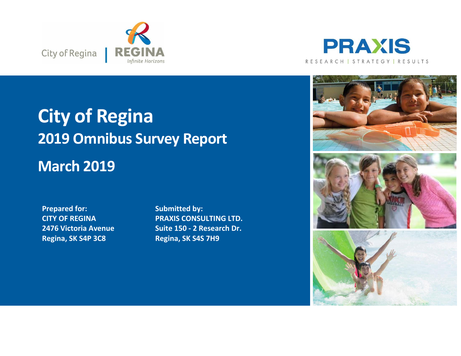



## **City of Regina 2019 Omnibus Survey Report March 2019**

**Prepared for: CITY OF REGINA 2476 Victoria Avenue Regina, SK S4P 3C8**

**Submitted by: PRAXIS CONSULTING LTD. Suite 150 - 2 Research Dr. Regina, SK S4S 7H9**

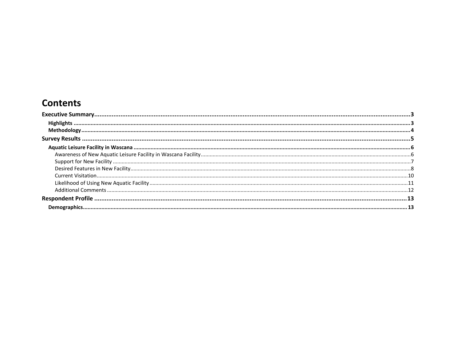## **Contents**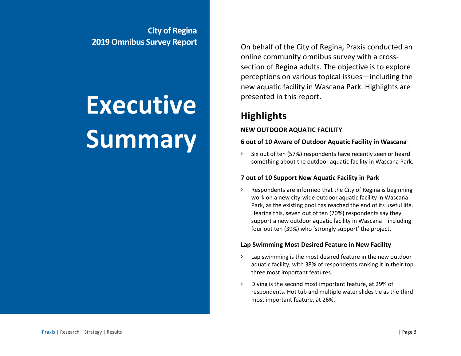**City of Regina 2019 Omnibus Survey Report**

# **Executive Summary**

On behalf of the City of Regina, Praxis conducted an online community omnibus survey with a crosssection of Regina adults. The objective is to explore perceptions on various topical issues—including the new aquatic facility in Wascana Park. Highlights are presented in this report.

## <span id="page-2-0"></span>**Highlights**

#### **NEW OUTDOOR AQUATIC FACILITY**

#### **6 out of 10 Aware of Outdoor Aquatic Facility in Wascana**

 Six out of ten (57%) respondents have recently seen or heard something about the outdoor aquatic facility in Wascana Park.

#### **7 out of 10 Support New Aquatic Facility in Park**

 Respondents are informed that the City of Regina is beginning work on a new city-wide outdoor aquatic facility in Wascana Park, as the existing pool has reached the end of its useful life. Hearing this, seven out of ten (70%) respondents say they support a new outdoor aquatic facility in Wascana—including four out ten (39%) who 'strongly support' the project.

#### **Lap Swimming Most Desired Feature in New Facility**

- Lap swimming is the most desired feature in the new outdoor aquatic facility, with 38% of respondents ranking it in their top three most important features.
- Diving is the second most important feature, at 29% of respondents. Hot tub and multiple water slides tie as the third most important feature, at 26%.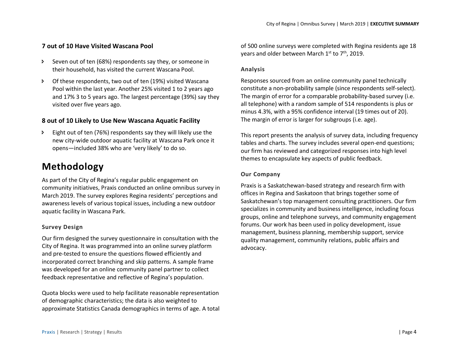#### **7 out of 10 Have Visited Wascana Pool**

- Seven out of ten (68%) respondents say they, or someone in their household, has visited the current Wascana Pool.
- Of these respondents, two out of ten (19%) visited Wascana Pool within the last year. Another 25% visited 1 to 2 years ago and 17% 3 to 5 years ago. The largest percentage (39%) say they visited over five years ago.

#### **8 out of 10 Likely to Use New Wascana Aquatic Facility**

 Eight out of ten (76%) respondents say they will likely use the new city-wide outdoor aquatic facility at Wascana Park once it opens—included 38% who are 'very likely' to do so.

## <span id="page-3-0"></span>**Methodology**

As part of the City of Regina's regular public engagement on community initiatives, Praxis conducted an online omnibus survey in March 2019. The survey explores Regina residents' perceptions and awareness levels of various topical issues, including a new outdoor aquatic facility in Wascana Park.

#### **Survey Design**

Our firm designed the survey questionnaire in consultation with the City of Regina. It was programmed into an online survey platform and pre-tested to ensure the questions flowed efficiently and incorporated correct branching and skip patterns. A sample frame was developed for an online community panel partner to collect feedback representative and reflective of Regina's population.

Quota blocks were used to help facilitate reasonable representation of demographic characteristics; the data is also weighted to approximate Statistics Canada demographics in terms of age. A total of 500 online surveys were completed with Regina residents age 18 years and older between March 1<sup>st</sup> to 7<sup>th</sup>, 2019.

#### **Analysis**

Responses sourced from an online community panel technically constitute a non-probability sample (since respondents self-select). The margin of error for a comparable probability-based survey (i.e. all telephone) with a random sample of 514 respondents is plus or minus 4.3%, with a 95% confidence interval (19 times out of 20). The margin of error is larger for subgroups (i.e. age).

This report presents the analysis of survey data, including frequency tables and charts. The survey includes several open-end questions; our firm has reviewed and categorized responses into high level themes to encapsulate key aspects of public feedback.

#### **Our Company**

Praxis is a Saskatchewan-based strategy and research firm with offices in Regina and Saskatoon that brings together some of Saskatchewan's top management consulting practitioners. Our firm specializes in community and business intelligence, including focus groups, online and telephone surveys, and community engagement forums. Our work has been used in policy development, issue management, business planning, membership support, service quality management, community relations, public affairs and advocacy.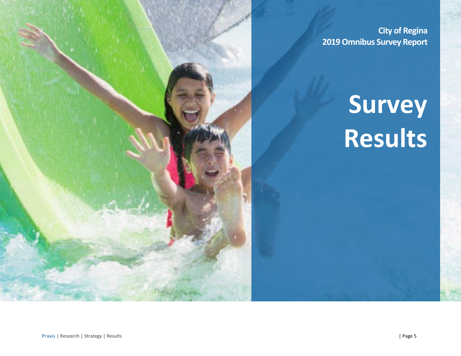**City of Regina 2019 Omnibus Survey Report**

## **Survey Results**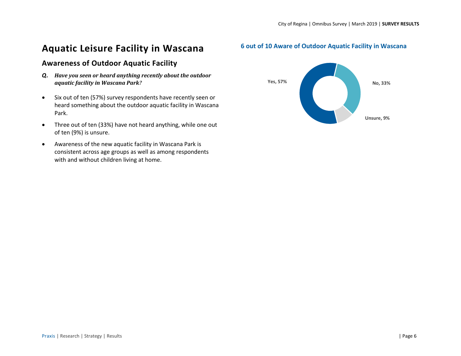## <span id="page-5-0"></span>**Aquatic Leisure Facility in Wascana**

### <span id="page-5-1"></span>**Awareness of Outdoor Aquatic Facility**

- *Q. Have you seen or heard anything recently about the outdoor aquatic facility in Wascana Park?*
- Six out of ten (57%) survey respondents have recently seen or heard something about the outdoor aquatic facility in Wascana Park.
- Three out of ten (33%) have not heard anything, while one out of ten (9%) is unsure.
- Awareness of the new aquatic facility in Wascana Park is consistent across age groups as well as among respondents with and without children living at home.

#### **6 out of 10 Aware of Outdoor Aquatic Facility in Wascana**

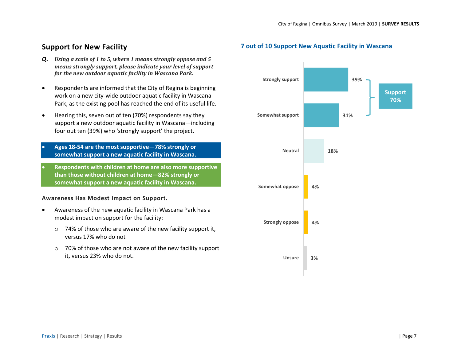### <span id="page-6-0"></span>**Support for New Facility**

- *Q. Using a scale of 1 to 5, where 1 means strongly oppose and 5 means strongly support, please indicate your level of support for the new outdoor aquatic facility in Wascana Park.*
- Respondents are informed that the City of Regina is beginning work on a new city-wide outdoor aquatic facility in Wascana Park, as the existing pool has reached the end of its useful life.
- Hearing this, seven out of ten (70%) respondents say they support a new outdoor aquatic facility in Wascana—including four out ten (39%) who 'strongly support' the project.
- **Ages 18-54 are the most supportive—78% strongly or somewhat support a new aquatic facility in Wascana.**
- **Respondents with children at home are also more supportive than those without children at home—82% strongly or somewhat support a new aquatic facility in Wascana.**

#### **Awareness Has Modest Impact on Support.**

- Awareness of the new aquatic facility in Wascana Park has a modest impact on support for the facility:
	- o 74% of those who are aware of the new facility support it, versus 17% who do not
	- o 70% of those who are not aware of the new facility support it, versus 23% who do not.

#### **7 out of 10 Support New Aquatic Facility in Wascana**

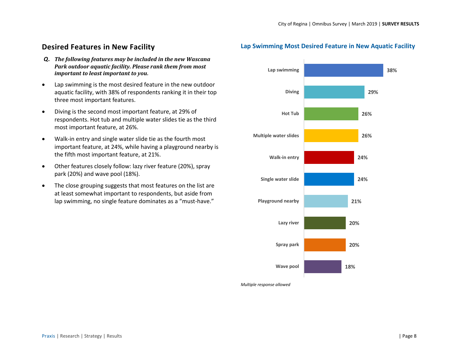### <span id="page-7-0"></span>**Desired Features in New Facility**

- *Q. The following features may be included in the new Wascana Park outdoor aquatic facility. Please rank them from most important to least important to you.*
- Lap swimming is the most desired feature in the new outdoor aquatic facility, with 38% of respondents ranking it in their top three most important features.
- Diving is the second most important feature, at 29% of respondents. Hot tub and multiple water slides tie as the third most important feature, at 26%.
- Walk-in entry and single water slide tie as the fourth most important feature, at 24%, while having a playground nearby is the fifth most important feature, at 21%.
- Other features closely follow: lazy river feature (20%), spray park (20%) and wave pool (18%).
- The close grouping suggests that most features on the list are at least somewhat important to respondents, but aside from lap swimming, no single feature dominates as a "must-have."

#### **Lap Swimming Most Desired Feature in New Aquatic Facility**



*Multiple response allowed*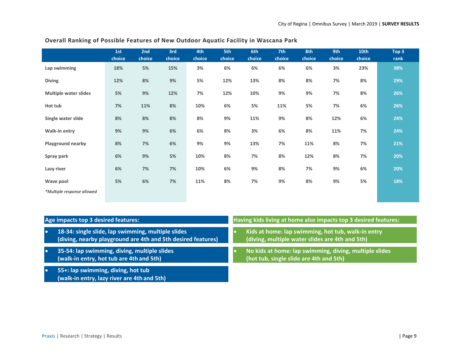|                              | 1st<br>choice | 2nd<br>choice | 3rd<br>choice | 4th<br>choice | 5th<br>choice | 6th<br>choice | 7th<br>choice | 8th<br>choice | 9th<br>choice | 10th<br>choice | Top 3<br>rank |
|------------------------------|---------------|---------------|---------------|---------------|---------------|---------------|---------------|---------------|---------------|----------------|---------------|
| Lap swimming                 | 18%           | 5%            | 15%           | 3%            | 6%            | 6%            | 6%            | 6%            | 3%            | 23%            | 38%           |
| <b>Diving</b>                | 12%           | 8%            | 9%            | 5%            | 12%           | 13%           | 8%            | 8%            | 7%            | 8%             | 29%           |
| <b>Multiple water slides</b> | 5%            | 9%            | 12%           | 7%            | 12%           | 10%           | $9%$          | 9%            | 7%            | 8%             | 26%           |
| Hot tub                      | 7%            | 11%           | 8%            | 10%           | 6%            | 5%            | 11%           | 5%            | 7%            | 6%             | 26%           |
| Single water slide           | 8%            | 8%            | 8%            | 8%            | 9%            | 11%           | $9%$          | 8%            | 12%           | 6%             | 24%           |
| Walk-in entry                | 9%            | 9%            | 6%            | 6%            | 8%            | 3%            | 6%            | 8%            | 11%           | 7%             | 24%           |
| Playground nearby            | 8%            | 7%            | 6%            | 9%            | 9%            | 13%           | 7%            | 11%           | $8%$          | 7%             | 21%           |
| Spray park                   | 6%            | 9%            | 5%            | 10%           | 8%            | 7%            | 8%            | 12%           | $8%$          | 7%             | 20%           |
| Lazy river                   | 6%            | 7%            | 7%            | 10%           | 6%            | 9%            | 8%            | 7%            | 9%            | 6%             | 20%           |
| Wave pool                    | 5%            | 6%            | 7%            | 11%           | 8%            | 7%            | 9%            | 8%            | 9%            | 5%             | 18%           |
| *Multiple response allowed   |               |               |               |               |               |               |               |               |               |                |               |

#### **Overall Ranking of Possible Features of New Outdoor Aquatic Facility in Wascana Park**

| Age impacts top 3 desired features: |                                                                                                                    |  | Having kids living at home also impacts top 3 desired features:                                       |  |  |  |  |  |
|-------------------------------------|--------------------------------------------------------------------------------------------------------------------|--|-------------------------------------------------------------------------------------------------------|--|--|--|--|--|
| <b>O</b>                            | 18-34: single slide, lap swimming, multiple slides<br>(diving, nearby playground are 4th and 5th desired features) |  | Kids at home: lap swimming, hot tub, walk-in entry<br>(diving, multiple water slides are 4th and 5th) |  |  |  |  |  |
| $\bullet$                           | 35-54: lap swimming, diving, multiple slides<br>(walk-in entry, hot tub are 4th and 5th)                           |  | No kids at home: lap swimming, diving, multiple slides<br>(hot tub, single slide are 4th and 5th)     |  |  |  |  |  |
|                                     | 55+: lap swimming, diving, hot tub<br>(walk-in entry, lazy river are 4th and 5th)                                  |  |                                                                                                       |  |  |  |  |  |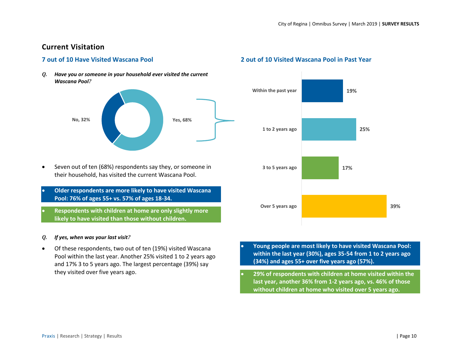#### <span id="page-9-0"></span>**Current Visitation**

#### **7 out of 10 Have Visited Wascana Pool**

*Q. Have you or someone in your household ever visited the current Wascana Pool?*



- Seven out of ten (68%) respondents say they, or someone in their household, has visited the current Wascana Pool.
- **Older respondents are more likely to have visited Wascana Pool: 76% of ages 55+ vs. 57% of ages 18-34.**
- **Respondents with children at home are only slightly more likely to have visited than those without children.**

#### *Q. If yes, when was your last visit?*

• Of these respondents, two out of ten (19%) visited Wascana Pool within the last year. Another 25% visited 1 to 2 years ago and 17% 3 to 5 years ago. The largest percentage (39%) say they visited over five years ago.

#### **2 out of 10 Visited Wascana Pool in Past Year**



- **Young people are most likely to have visited Wascana Pool: within the last year (30%), ages 35-54 from 1 to 2 years ago (34%) and ages 55+ over five years ago (57%).**
- **29% of respondents with children at home visited within the last year, another 36% from 1-2 years ago, vs. 46% of those without children at home who visited over 5 years ago.**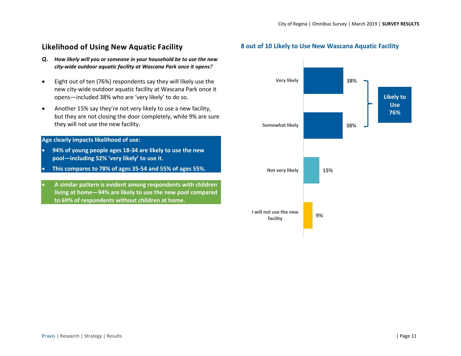## <span id="page-10-0"></span>**Likelihood of Using New Aquatic Facility**

- *Q. How likely will you or someone in your household be to use the new city-wide outdoor aquatic facility at Wascana Park once it opens?*
- Eight out of ten (76%) respondents say they will likely use the new city-wide outdoor aquatic facility at Wascana Park once it opens—included 38% who are 'very likely' to do so.
- Another 15% say they're not very likely to use a new facility, but they are not closing the door completely, while 9% are sure they will not use the new facility.

#### **Age clearly impacts likelihood of use:**

- **94% of young people ages 18-34 are likely to use the new pool—including 52% 'very likely' to use it.**
- **This compares to 78% of ages 35-54 and 55% of ages 55%.**
- **A similar pattern is evident among respondents with children living at home—94% are likely to use the new pool compared to 69% of respondents without children at home.**

#### **8 out of 10 Likely to Use New Wascana Aquatic Facility**

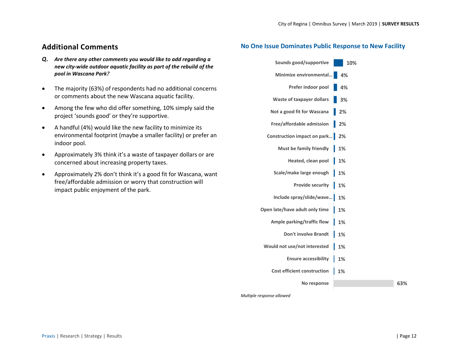#### <span id="page-11-0"></span>**Additional Comments**

- *Q. Are there any other comments you would like to add regarding a new city-wide outdoor aquatic facility as part of the rebuild of the pool in Wascana Park?*
- The majority (63%) of respondents had no additional concerns or comments about the new Wascana aquatic facility.
- Among the few who did offer something, 10% simply said the project 'sounds good' or they're supportive.
- A handful (4%) would like the new facility to minimize its environmental footprint (maybe a smaller facility) or prefer an indoor pool.
- Approximately 3% think it's a waste of taxpayer dollars or are concerned about increasing property taxes.
- Approximately 2% don't think it's a good fit for Wascana, want free/affordable admission or worry that construction will impact public enjoyment of the park.

#### **No One Issue Dominates Public Response to New Facility**

| Sounds good/supportive             | 10% |
|------------------------------------|-----|
| Minimize environmental             | 4%  |
| Prefer indoor pool                 | 4%  |
| <b>Waste of taxpayer dollars</b>   | 3%  |
| Not a good fit for Wascana         | 2%  |
| Free/affordable admission          | 2%  |
| Construction impact on park        | 2%  |
| <b>Must be family friendly</b>     | 1%  |
| Heated, clean pool                 | 1%  |
| Scale/make large enough            | 1%  |
| <b>Provide security</b>            | 1%  |
| Include spray/slide/wave           | 1%  |
| Open late/have adult only time     | 1%  |
| Ample parking/traffic flow         | 1%  |
| <b>Don't involve Brandt</b>        | 1%  |
| Would not use/not interested       | 1%  |
| <b>Ensure accessibility</b>        | 1%  |
| <b>Cost efficient construction</b> | 1%  |
| No response                        |     |

**63%**

*Multiple response allowed*